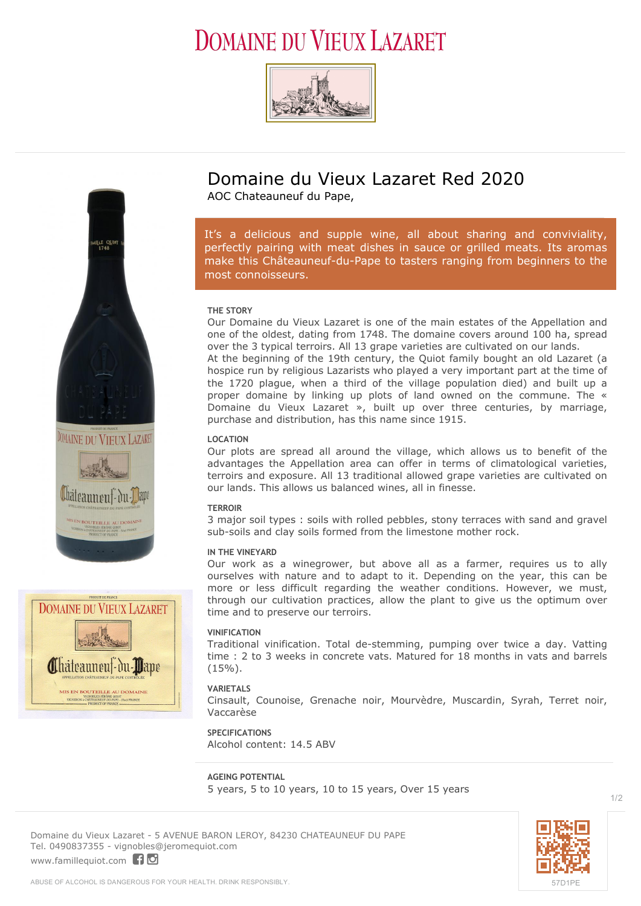# **DOMAINE DU VIEUX LAZARET**







### **Domaine du Vieux Lazaret Red 2020**

AOC Chateauneuf du Pape,

*It's a delicious and supple wine, all about sharing and conviviality, perfectly pairing with meat dishes in sauce or grilled meats. Its aromas make this Châteauneuf-du-Pape to tasters ranging from beginners to the most connoisseurs.*

#### **THE STORY**

Our Domaine du Vieux Lazaret is one of the main estates of the Appellation and one of the oldest, dating from 1748. The domaine covers around 100 ha, spread over the 3 typical terroirs. All 13 grape varieties are cultivated on our lands.

At the beginning of the 19th century, the Quiot family bought an old Lazaret (a hospice run by religious Lazarists who played a very important part at the time of the 1720 plague, when a third of the village population died) and built up a proper domaine by linking up plots of land owned on the commune. The « Domaine du Vieux Lazaret », built up over three centuries, by marriage, purchase and distribution, has this name since 1915.

#### **LOCATION**

Our plots are spread all around the village, which allows us to benefit of the advantages the Appellation area can offer in terms of climatological varieties, terroirs and exposure. All 13 traditional allowed grape varieties are cultivated on our lands. This allows us balanced wines, all in finesse.

#### **TERROIR**

3 major soil types : soils with rolled pebbles, stony terraces with sand and gravel sub-soils and clay soils formed from the limestone mother rock.

#### **IN THE VINEYARD**

Our work as a winegrower, but above all as a farmer, requires us to ally ourselves with nature and to adapt to it. Depending on the year, this can be more or less difficult regarding the weather conditions. However, we must, through our cultivation practices, allow the plant to give us the optimum over time and to preserve our terroirs.

#### **VINIFICATION**

Traditional vinification. Total de-stemming, pumping over twice a day. Vatting time : 2 to 3 weeks in concrete vats. Matured for 18 months in vats and barrels  $(15\%)$ .

#### **VARIETALS**

Cinsault, Counoise, Grenache noir, Mourvèdre, Muscardin, Syrah, Terret noir, Vaccarèse

**SPECIFICATIONS** Alcohol content: 14.5 ABV

**AGEING POTENTIAL** 5 years, 5 to 10 years, 10 to 15 years, Over 15 years

**Domaine du Vieux Lazaret** - 5 AVENUE BARON LEROY, 84230 CHATEAUNEUF DU PAPE Tel. 0490837355 - vignobles@jeromequiot.com <www.famillequiot.com>flo



1/2